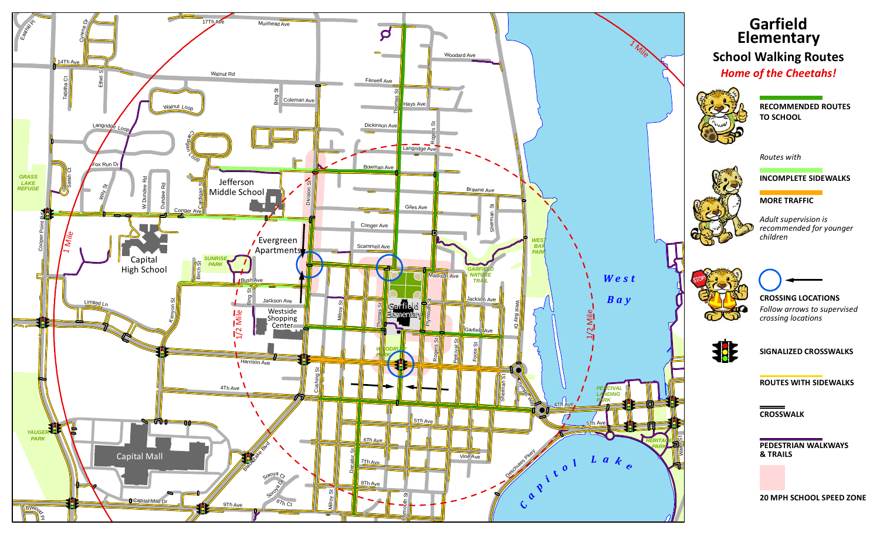